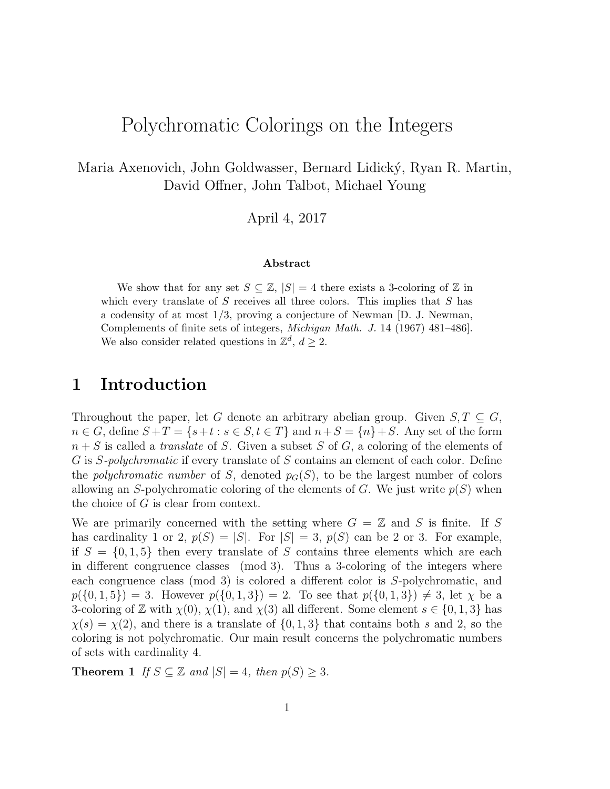# Polychromatic Colorings on the Integers

Maria Axenovich, John Goldwasser, Bernard Lidický, Ryan R. Martin, David Offner, John Talbot, Michael Young

April 4, 2017

#### Abstract

We show that for any set  $S \subseteq \mathbb{Z}$ ,  $|S| = 4$  there exists a 3-coloring of  $\mathbb{Z}$  in which every translate of  $S$  receives all three colors. This implies that  $S$  has a codensity of at most  $1/3$ , proving a conjecture of Newman [D. J. Newman, Complements of finite sets of integers, Michigan Math. J. 14 (1967) 481–486]. We also consider related questions in  $\mathbb{Z}^d$ ,  $d \geq 2$ .

# 1 Introduction

Throughout the paper, let G denote an arbitrary abelian group. Given  $S, T \subseteq G$ ,  $n \in G$ , define  $S + T = \{s+t : s \in S, t \in T\}$  and  $n+S = \{n\}+S$ . Any set of the form  $n + S$  is called a *translate* of S. Given a subset S of G, a coloring of the elements of G is S-polychromatic if every translate of S contains an element of each color. Define the polychromatic number of S, denoted  $p_G(S)$ , to be the largest number of colors allowing an S-polychromatic coloring of the elements of G. We just write  $p(S)$  when the choice of  $G$  is clear from context.

We are primarily concerned with the setting where  $G = \mathbb{Z}$  and S is finite. If S has cardinality 1 or 2,  $p(S) = |S|$ . For  $|S| = 3$ ,  $p(S)$  can be 2 or 3. For example, if  $S = \{0, 1, 5\}$  then every translate of S contains three elements which are each in different congruence classes (mod 3). Thus a 3-coloring of the integers where each congruence class (mod 3) is colored a different color is S-polychromatic, and  $p({0, 1, 5}) = 3.$  However  $p({0, 1, 3}) = 2.$  To see that  $p({0, 1, 3}) \neq 3$ , let  $\chi$  be a 3-coloring of Z with  $\chi(0)$ ,  $\chi(1)$ , and  $\chi(3)$  all different. Some element  $s \in \{0, 1, 3\}$  has  $\chi(s) = \chi(2)$ , and there is a translate of  $\{0, 1, 3\}$  that contains both s and 2, so the coloring is not polychromatic. Our main result concerns the polychromatic numbers of sets with cardinality 4.

<span id="page-0-0"></span>**Theorem 1** If  $S \subseteq \mathbb{Z}$  and  $|S| = 4$ , then  $p(S) \geq 3$ .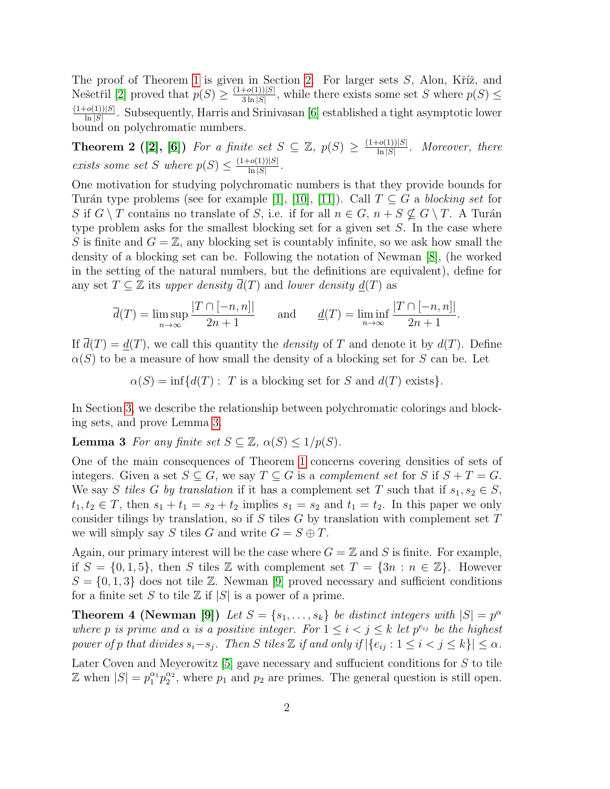The proof of Theorem [1](#page-0-0) is given in Section [2.](#page-3-0) For larger sets  $S$ , Alon, Kříž, and Nešetřil [\[2\]](#page-14-0) proved that  $p(S) \geq \frac{(1+o(1))|S|}{3 \ln |S|}$  $\frac{+o(1)}{3\ln|S|}$ , while there exists some set S where  $p(S) \leq$  $(1+o(1))|S|$  $\frac{\text{[O(1))}[S]}{\ln |S|}$ . Subsequently, Harris and Srinivasan [\[6\]](#page-14-1) established a tight asymptotic lower bound on polychromatic numbers.

<span id="page-1-1"></span>**Theorem 2** ([\[2\]](#page-14-0), [\[6\]](#page-14-1)) For a finite set  $S \subseteq \mathbb{Z}$ ,  $p(S) \geq \frac{(1+o(1))|S|}{\ln |S|}$  $\frac{\text{[O(1))}[S]}{\ln |S|}$ . Moreover, there exists some set S where  $p(S) \leq \frac{(1+o(1))|S|}{\ln |S|}$  $\frac{\left\lceil o(1) \right\rceil |S|}{\ln |S|}$ .

One motivation for studying polychromatic numbers is that they provide bounds for Turán type problems (see for example [\[1\]](#page-14-2), [\[10\]](#page-14-3), [\[11\]](#page-14-4)). Call  $T \subseteq G$  a blocking set for S if  $G \setminus T$  contains no translate of S, i.e. if for all  $n \in G$ ,  $n + S \nsubseteq G \setminus T$ . A Turán type problem asks for the smallest blocking set for a given set S. In the case where S is finite and  $G = \mathbb{Z}$ , any blocking set is countably infinite, so we ask how small the density of a blocking set can be. Following the notation of Newman [\[8\]](#page-14-5), (he worked in the setting of the natural numbers, but the definitions are equivalent), define for any set  $T \subseteq \mathbb{Z}$  its upper density  $\overline{d}(T)$  and lower density  $d(T)$  as

$$
\overline{d}(T) = \limsup_{n \to \infty} \frac{|T \cap [-n, n]|}{2n + 1} \quad \text{and} \quad \underline{d}(T) = \liminf_{n \to \infty} \frac{|T \cap [-n, n]|}{2n + 1}
$$

.

If  $\overline{d}(T) = d(T)$ , we call this quantity the *density* of T and denote it by  $d(T)$ . Define  $\alpha(S)$  to be a measure of how small the density of a blocking set for S can be. Let

<span id="page-1-0"></span>
$$
\alpha(S) = \inf \{ d(T) : T \text{ is a blocking set for } S \text{ and } d(T) \text{ exists} \}.
$$

In Section [3,](#page-7-0) we describe the relationship between polychromatic colorings and blocking sets, and prove Lemma [3.](#page-1-0)

**Lemma 3** For any finite set  $S \subseteq \mathbb{Z}$ ,  $\alpha(S) \leq 1/p(S)$ .

One of the main consequences of Theorem [1](#page-0-0) concerns covering densities of sets of integers. Given a set  $S \subseteq G$ , we say  $T \subseteq G$  is a *complement set* for S if  $S + T = G$ . We say S tiles G by translation if it has a complement set T such that if  $s_1, s_2 \in S$ ,  $t_1, t_2 \in T$ , then  $s_1 + t_1 = s_2 + t_2$  implies  $s_1 = s_2$  and  $t_1 = t_2$ . In this paper we only consider tilings by translation, so if S tiles  $G$  by translation with complement set  $T$ we will simply say S tiles G and write  $G = S \oplus T$ .

Again, our primary interest will be the case where  $G = \mathbb{Z}$  and S is finite. For example, if  $S = \{0, 1, 5\}$ , then S tiles Z with complement set  $T = \{3n : n \in \mathbb{Z}\}$ . However  $S = \{0, 1, 3\}$  does not tile Z. Newman [\[9\]](#page-14-6) proved necessary and sufficient conditions for a finite set S to tile  $\mathbb Z$  if  $|S|$  is a power of a prime.

<span id="page-1-2"></span>**Theorem 4 (Newman [\[9\]](#page-14-6))** Let  $S = \{s_1, \ldots, s_k\}$  be distinct integers with  $|S| = p^{\alpha}$ where p is prime and  $\alpha$  is a positive integer. For  $1 \leq i < j \leq k$  let  $p^{e_{ij}}$  be the highest power of p that divides  $s_i-s_j$ . Then S tiles Z if and only if  $|\{e_{ij}: 1 \le i < j \le k\}| \le \alpha$ .

Later Coven and Meyerowitz [\[5\]](#page-14-7) gave necessary and suffucient conditions for S to tile  $\mathbb{Z}$  when  $|S| = p_1^{\alpha_1} p_2^{\alpha_2}$ , where  $p_1$  and  $p_2$  are primes. The general question is still open.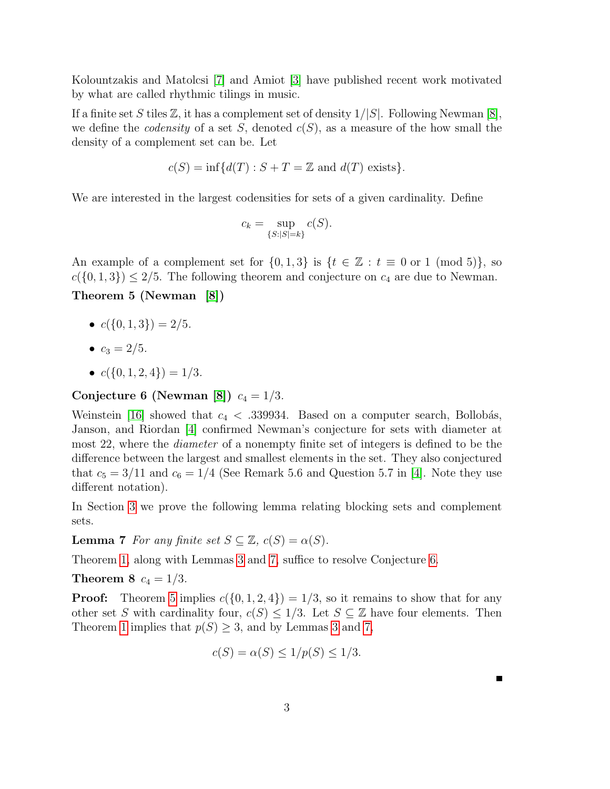Kolountzakis and Matolcsi [\[7\]](#page-14-8) and Amiot [\[3\]](#page-14-9) have published recent work motivated by what are called rhythmic tilings in music.

If a finite set S tiles  $\mathbb{Z}$ , it has a complement set of density  $1/|S|$ . Following Newman [\[8\]](#page-14-5), we define the *codensity* of a set S, denoted  $c(S)$ , as a measure of the how small the density of a complement set can be. Let

$$
c(S) = \inf \{d(T) : S + T = \mathbb{Z} \text{ and } d(T) \text{ exists}\}.
$$

We are interested in the largest codensities for sets of a given cardinality. Define

$$
c_k = \sup_{\{S:|S|=k\}} c(S).
$$

<span id="page-2-2"></span>An example of a complement set for  $\{0,1,3\}$  is  $\{t \in \mathbb{Z} : t \equiv 0 \text{ or } 1 \pmod{5}\},\$  $c({0, 1, 3}) \le 2/5$ . The following theorem and conjecture on  $c_4$  are due to Newman. Theorem 5 (Newman [\[8\]](#page-14-5))

- $c({0, 1, 3}) = 2/5.$
- $c_3 = 2/5$ .
- $c({0, 1, 2, 4}) = 1/3.$

### <span id="page-2-1"></span>Conjecture 6 (Newman [\[8\]](#page-14-5))  $c_4 = 1/3$ .

Weinstein [\[16\]](#page-15-0) showed that  $c_4 < .339934$ . Based on a computer search, Bollobás, Janson, and Riordan [\[4\]](#page-14-10) confirmed Newman's conjecture for sets with diameter at most 22, where the *diameter* of a nonempty finite set of integers is defined to be the difference between the largest and smallest elements in the set. They also conjectured that  $c_5 = 3/11$  and  $c_6 = 1/4$  (See Remark 5.6 and Question 5.7 in [\[4\]](#page-14-10). Note they use different notation).

<span id="page-2-0"></span>In Section [3](#page-7-0) we prove the following lemma relating blocking sets and complement sets.

**Lemma 7** For any finite set  $S \subseteq \mathbb{Z}$ ,  $c(S) = \alpha(S)$ .

Theorem [1,](#page-0-0) along with Lemmas [3](#page-1-0) and [7,](#page-2-0) suffice to resolve Conjecture [6.](#page-2-1)

**Theorem 8**  $c_4 = 1/3$ .

**Proof:** Theorem [5](#page-2-2) implies  $c({0, 1, 2, 4}) = 1/3$ , so it remains to show that for any other set S with cardinality four,  $c(S) \leq 1/3$ . Let  $S \subseteq \mathbb{Z}$  have four elements. Then Theorem [1](#page-0-0) implies that  $p(S) \geq 3$  $p(S) \geq 3$ , and by Lemmas 3 and [7,](#page-2-0)

$$
c(S) = \alpha(S) \le 1/p(S) \le 1/3.
$$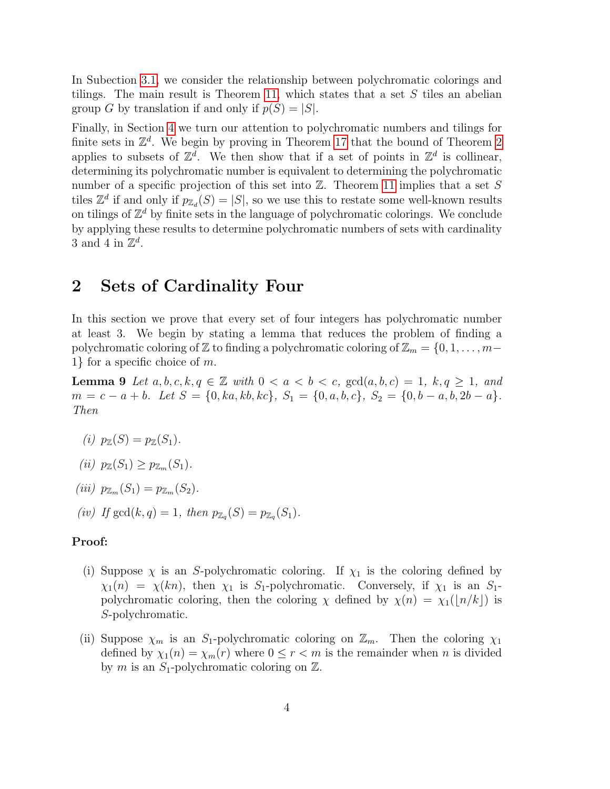In Subection [3.1,](#page-8-0) we consider the relationship between polychromatic colorings and tilings. The main result is Theorem [11,](#page-8-1) which states that a set  $S$  tiles an abelian group G by translation if and only if  $p(S) = |S|$ .

Finally, in Section [4](#page-9-0) we turn our attention to polychromatic numbers and tilings for finite sets in  $\mathbb{Z}^d$ . We begin by proving in Theorem [17](#page-10-0) that the bound of Theorem [2](#page-1-1) applies to subsets of  $\mathbb{Z}^d$ . We then show that if a set of points in  $\mathbb{Z}^d$  is collinear, determining its polychromatic number is equivalent to determining the polychromatic number of a specific projection of this set into  $\mathbb{Z}$ . Theorem [11](#page-8-1) implies that a set S tiles  $\mathbb{Z}^d$  if and only if  $p_{\mathbb{Z}_d}(S) = |S|$ , so we use this to restate some well-known results on tilings of  $\mathbb{Z}^d$  by finite sets in the language of polychromatic colorings. We conclude by applying these results to determine polychromatic numbers of sets with cardinality 3 and 4 in  $\mathbb{Z}^d$ .

# <span id="page-3-0"></span>2 Sets of Cardinality Four

In this section we prove that every set of four integers has polychromatic number at least 3. We begin by stating a lemma that reduces the problem of finding a polychromatic coloring of  $\mathbb Z$  to finding a polychromatic coloring of  $\mathbb Z_m = \{0, 1, \ldots, m-$ 1} for a specific choice of m.

<span id="page-3-1"></span>**Lemma 9** Let  $a, b, c, k, q \in \mathbb{Z}$  with  $0 < a < b < c$ ,  $\gcd(a, b, c) = 1$ ,  $k, q \ge 1$ , and  $m = c - a + b$ . Let  $S = \{0, ka, kb, kc\}$ ,  $S_1 = \{0, a, b, c\}$ ,  $S_2 = \{0, b - a, b, 2b - a\}$ . Then

- (i)  $p_{\mathbb{Z}}(S) = p_{\mathbb{Z}}(S_1)$ .
- (ii)  $p_{\mathbb{Z}}(S_1) \geq p_{\mathbb{Z}_m}(S_1)$ .
- (iii)  $p_{\mathbb{Z}_m}(S_1) = p_{\mathbb{Z}_m}(S_2)$ .
- (iv) If  $gcd(k, q) = 1$ , then  $p_{\mathbb{Z}_q}(S) = p_{\mathbb{Z}_q}(S_1)$ .

### Proof:

- (i) Suppose  $\chi$  is an S-polychromatic coloring. If  $\chi_1$  is the coloring defined by  $\chi_1(n) = \chi(kn)$ , then  $\chi_1$  is S<sub>1</sub>-polychromatic. Conversely, if  $\chi_1$  is an S<sub>1</sub>polychromatic coloring, then the coloring  $\chi$  defined by  $\chi(n) = \chi_1(|n/k|)$  is S-polychromatic.
- (ii) Suppose  $\chi_m$  is an S<sub>1</sub>-polychromatic coloring on  $\mathbb{Z}_m$ . Then the coloring  $\chi_1$ defined by  $\chi_1(n) = \chi_m(r)$  where  $0 \le r < m$  is the remainder when n is divided by m is an  $S_1$ -polychromatic coloring on  $\mathbb{Z}$ .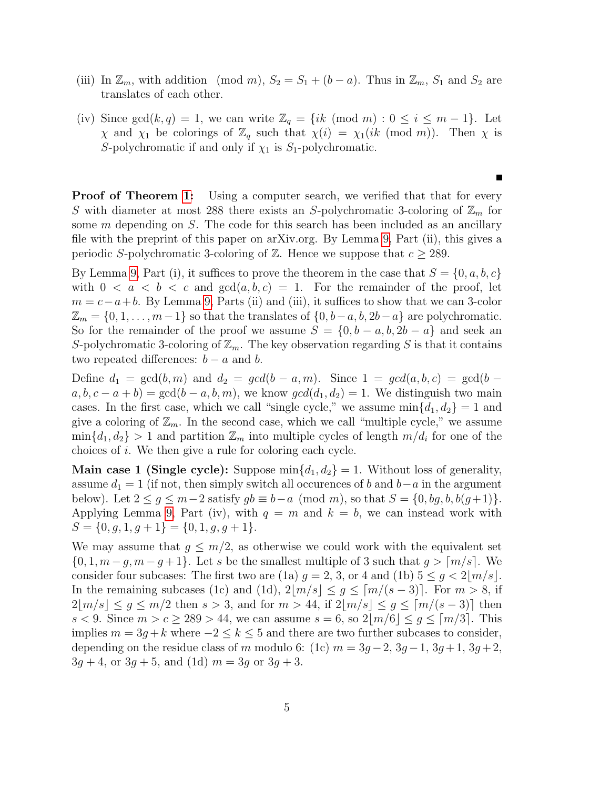- (iii) In  $\mathbb{Z}_m$ , with addition (mod m),  $S_2 = S_1 + (b a)$ . Thus in  $\mathbb{Z}_m$ ,  $S_1$  and  $S_2$  are translates of each other.
- (iv) Since  $gcd(k, q) = 1$ , we can write  $\mathbb{Z}_q = \{ik \pmod{m} : 0 \leq i \leq m-1\}$ . Let  $\chi$  and  $\chi_1$  be colorings of  $\mathbb{Z}_q$  such that  $\chi(i) = \chi_1(ik \pmod{m})$ . Then  $\chi$  is S-polychromatic if and only if  $\chi_1$  is S<sub>1</sub>-polychromatic.

Ē

**Proof of Theorem [1:](#page-0-0)** Using a computer search, we verified that that for every S with diameter at most 288 there exists an S-polychromatic 3-coloring of  $\mathbb{Z}_m$  for some  $m$  depending on  $S$ . The code for this search has been included as an ancillary file with the preprint of this paper on arXiv.org. By Lemma [9,](#page-3-1) Part (ii), this gives a periodic S-polychromatic 3-coloring of  $\mathbb{Z}$ . Hence we suppose that  $c > 289$ .

By Lemma [9,](#page-3-1) Part (i), it suffices to prove the theorem in the case that  $S = \{0, a, b, c\}$ with  $0 < a < b < c$  and  $gcd(a, b, c) = 1$ . For the remainder of the proof, let  $m = c - a + b$ . By Lemma [9,](#page-3-1) Parts (ii) and (iii), it suffices to show that we can 3-color  $\mathbb{Z}_m = \{0, 1, \ldots, m-1\}$  so that the translates of  $\{0, b-a, b, 2b-a\}$  are polychromatic. So for the remainder of the proof we assume  $S = \{0, b - a, b, 2b - a\}$  and seek an S-polychromatic 3-coloring of  $\mathbb{Z}_m$ . The key observation regarding S is that it contains two repeated differences:  $b - a$  and b.

Define  $d_1 = \gcd(b, m)$  and  $d_2 = \gcd(b - a, m)$ . Since  $1 = \gcd(a, b, c) = \gcd(b - a, m)$  $a, b, c - a + b$  = gcd(b – a, b, m), we know  $gcd(d_1, d_2) = 1$ . We distinguish two main cases. In the first case, which we call "single cycle," we assume  $\min\{d_1, d_2\} = 1$  and give a coloring of  $\mathbb{Z}_m$ . In the second case, which we call "multiple cycle," we assume  $\min\{d_1, d_2\} > 1$  and partition  $\mathbb{Z}_m$  into multiple cycles of length  $m/d_i$  for one of the choices of i. We then give a rule for coloring each cycle.

**Main case 1 (Single cycle):** Suppose  $\min\{d_1, d_2\} = 1$ . Without loss of generality, assume  $d_1 = 1$  (if not, then simply switch all occurences of b and b–a in the argument below). Let  $2 \leq g \leq m-2$  satisfy  $gb \equiv b-a \pmod{m}$ , so that  $S = \{0, bg, b, b(g+1)\}.$ Applying Lemma [9,](#page-3-1) Part (iv), with  $q = m$  and  $k = b$ , we can instead work with  $S = \{0, g, 1, g + 1\} = \{0, 1, g, g + 1\}.$ 

We may assume that  $g \leq m/2$ , as otherwise we could work with the equivalent set  $\{0, 1, m-g, m-g+1\}$ . Let s be the smallest multiple of 3 such that  $g > \lceil m/s \rceil$ . We consider four subcases: The first two are (1a)  $q = 2, 3$ , or 4 and (1b)  $5 \leq q \leq 2|m/s|$ . In the remaining subcases (1c) and (1d),  $2|m/s| \leq g \leq [m/(s-3)]$ . For  $m > 8$ , if  $2|m/s| \leq g \leq m/2$  then  $s > 3$ , and for  $m > 44$ , if  $2|m/s| \leq g \leq [m/(s-3)]$  then s < 9. Since  $m > c \ge 289 > 44$ , we can assume  $s = 6$ , so  $2|m/6| \le g \le [m/3]$ . This implies  $m = 3g + k$  where  $-2 \leq k \leq 5$  and there are two further subcases to consider, depending on the residue class of m modulo 6: (1c)  $m = 3g - 2$ ,  $3g - 1$ ,  $3g + 1$ ,  $3g + 2$ ,  $3g + 4$ , or  $3g + 5$ , and (1d)  $m = 3g$  or  $3g + 3$ .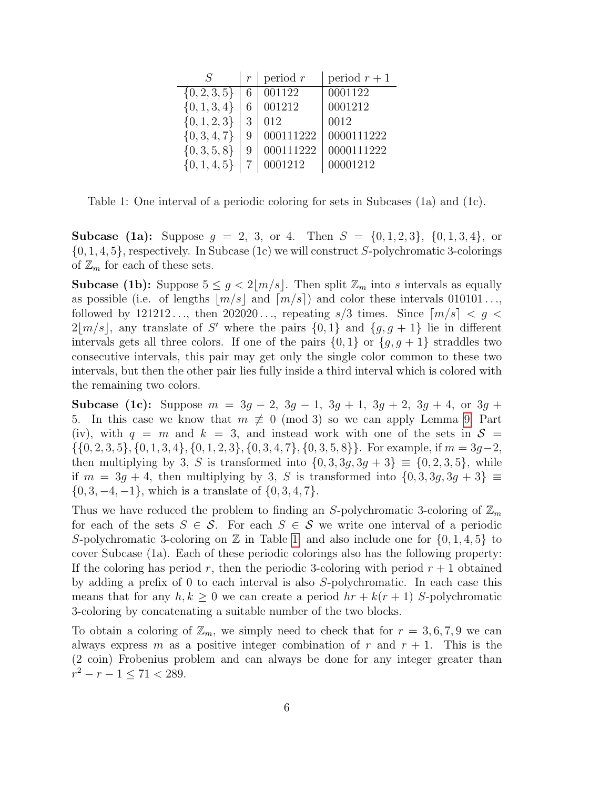| $\mathcal{S}$    | $\boldsymbol{r}$ | period $r$ | period $r+1$ |
|------------------|------------------|------------|--------------|
| $\{0, 2, 3, 5\}$ |                  | 001122     | 0001122      |
| $\{0, 1, 3, 4\}$ |                  | 001212     | 0001212      |
| $\{0, 1, 2, 3\}$ | 3                | 012        | 0012         |
| $\{0, 3, 4, 7\}$ |                  | 000111222  | 0000111222   |
| $\{0, 3, 5, 8\}$ |                  | 000111222  | 0000111222   |
| $\{0, 1, 4, 5\}$ |                  | 0001212    | 00001212     |

<span id="page-5-0"></span>Table 1: One interval of a periodic coloring for sets in Subcases (1a) and (1c).

**Subcase (1a):** Suppose  $g = 2, 3, \text{ or } 4$ . Then  $S = \{0, 1, 2, 3\}, \{0, 1, 3, 4\}, \text{ or }$  $\{0, 1, 4, 5\}$ , respectively. In Subcase (1c) we will construct S-polychromatic 3-colorings of  $\mathbb{Z}_m$  for each of these sets.

**Subcase (1b):** Suppose  $5 \leq g < 2\lfloor m/s \rfloor$ . Then split  $\mathbb{Z}_m$  into s intervals as equally as possible (i.e. of lengths  $|m/s|$  and  $[m/s]$ ) and color these intervals 010101... followed by 121212..., then  $202020...$ , repeating  $s/3$  times. Since  $\lceil m/s \rceil < g <$  $2|m/s|$ , any translate of S' where the pairs  $\{0,1\}$  and  $\{g,g+1\}$  lie in different intervals gets all three colors. If one of the pairs  $\{0,1\}$  or  $\{g, g+1\}$  straddles two consecutive intervals, this pair may get only the single color common to these two intervals, but then the other pair lies fully inside a third interval which is colored with the remaining two colors.

Subcase (1c): Suppose  $m = 3g - 2$ ,  $3g - 1$ ,  $3g + 1$ ,  $3g + 2$ ,  $3g + 4$ , or  $3g + 1$ 5. In this case we know that  $m \not\equiv 0 \pmod{3}$  so we can apply Lemma [9,](#page-3-1) Part (iv), with  $q = m$  and  $k = 3$ , and instead work with one of the sets in  $S =$  $\{\{0, 2, 3, 5\}, \{0, 1, 3, 4\}, \{0, 1, 2, 3\}, \{0, 3, 4, 7\}, \{0, 3, 5, 8\}\}.$  For example, if  $m = 3g-2$ , then multiplying by 3, S is transformed into  $\{0, 3, 3g, 3g + 3\} \equiv \{0, 2, 3, 5\}$ , while if  $m = 3g + 4$ , then multiplying by 3, S is transformed into  $\{0, 3, 3g, 3g + 3\} \equiv$  $\{0, 3, -4, -1\}$ , which is a translate of  $\{0, 3, 4, 7\}$ .

Thus we have reduced the problem to finding an S-polychromatic 3-coloring of  $\mathbb{Z}_m$ for each of the sets  $S \in \mathcal{S}$ . For each  $S \in \mathcal{S}$  we write one interval of a periodic S-polychromatic 3-coloring on  $\mathbb Z$  in Table [1,](#page-5-0) and also include one for  $\{0, 1, 4, 5\}$  to cover Subcase (1a). Each of these periodic colorings also has the following property: If the coloring has period r, then the periodic 3-coloring with period  $r + 1$  obtained by adding a prefix of 0 to each interval is also S-polychromatic. In each case this means that for any  $h, k \geq 0$  we can create a period  $hr + k(r + 1)$  S-polychromatic 3-coloring by concatenating a suitable number of the two blocks.

To obtain a coloring of  $\mathbb{Z}_m$ , we simply need to check that for  $r = 3, 6, 7, 9$  we can always express m as a positive integer combination of r and  $r + 1$ . This is the (2 coin) Frobenius problem and can always be done for any integer greater than  $r^2 - r - 1 \leq 71 < 289.$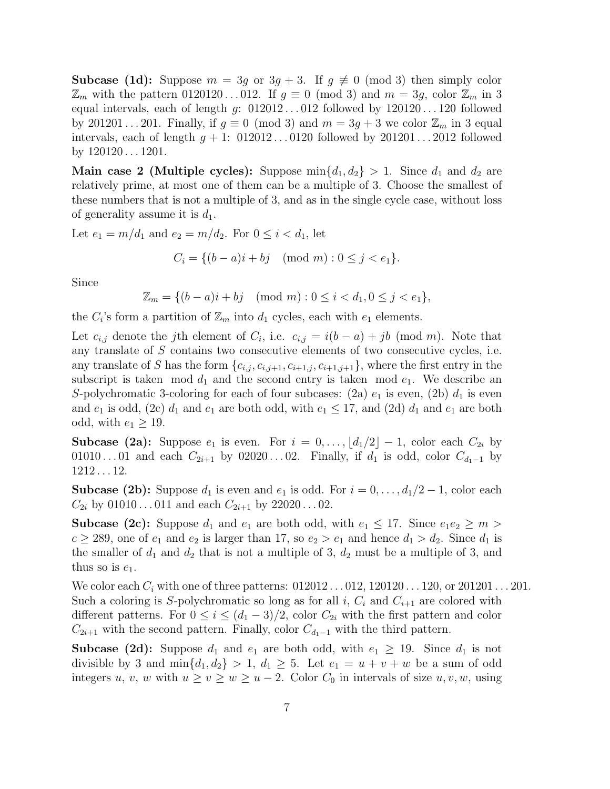**Subcase (1d):** Suppose  $m = 3g$  or  $3g + 3$ . If  $g \neq 0 \pmod{3}$  then simply color  $\mathbb{Z}_m$  with the pattern 0120120...012. If  $g \equiv 0 \pmod{3}$  and  $m = 3g$ , color  $\mathbb{Z}_m$  in 3 equal intervals, each of length  $g: 012012...012$  followed by  $120120...120$  followed by 201201...201. Finally, if  $g \equiv 0 \pmod{3}$  and  $m = 3g + 3$  we color  $\mathbb{Z}_m$  in 3 equal intervals, each of length  $q + 1$ : 012012...0120 followed by 201201...2012 followed by 120120 . . . 1201.

**Main case 2 (Multiple cycles):** Suppose  $\min\{d_1, d_2\} > 1$ . Since  $d_1$  and  $d_2$  are relatively prime, at most one of them can be a multiple of 3. Choose the smallest of these numbers that is not a multiple of 3, and as in the single cycle case, without loss of generality assume it is  $d_1$ .

Let  $e_1 = m/d_1$  and  $e_2 = m/d_2$ . For  $0 \le i < d_1$ , let

$$
C_i = \{(b-a)i + bj \pmod{m} : 0 \le j < e_1\}.
$$

Since

$$
\mathbb{Z}_m = \{ (b-a)i + bj \pmod{m} : 0 \le i < d_1, 0 \le j < e_1 \},
$$

the  $C_i$ 's form a partition of  $\mathbb{Z}_m$  into  $d_1$  cycles, each with  $e_1$  elements.

Let  $c_{i,j}$  denote the j<sup>th</sup> element of  $C_i$ , i.e.  $c_{i,j} = i(b-a) + jb \pmod{m}$ . Note that any translate of S contains two consecutive elements of two consecutive cycles, i.e. any translate of S has the form  $\{c_{i,j}, c_{i,j+1}, c_{i+1,j}, c_{i+1,j+1}\}$ , where the first entry in the subscript is taken mod  $d_1$  and the second entry is taken mod  $e_1$ . We describe an S-polychromatic 3-coloring for each of four subcases: (2a)  $e_1$  is even, (2b)  $d_1$  is even and  $e_1$  is odd, (2c)  $d_1$  and  $e_1$  are both odd, with  $e_1 \leq 17$ , and (2d)  $d_1$  and  $e_1$  are both odd, with  $e_1 \geq 19$ .

**Subcase (2a):** Suppose  $e_1$  is even. For  $i = 0, \ldots, \lfloor d_1/2 \rfloor - 1$ , color each  $C_{2i}$  by 01010...01 and each  $C_{2i+1}$  by 02020...02. Finally, if  $d_1$  is odd, color  $C_{d_1-1}$  by 1212 . . . 12.

**Subcase (2b):** Suppose  $d_1$  is even and  $e_1$  is odd. For  $i = 0, \ldots, d_1/2 - 1$ , color each  $C_{2i}$  by 01010...011 and each  $C_{2i+1}$  by 22020...02.

**Subcase (2c):** Suppose  $d_1$  and  $e_1$  are both odd, with  $e_1 \leq 17$ . Since  $e_1e_2 \geq m$  $c \ge 289$ , one of  $e_1$  and  $e_2$  is larger than 17, so  $e_2 > e_1$  and hence  $d_1 > d_2$ . Since  $d_1$  is the smaller of  $d_1$  and  $d_2$  that is not a multiple of 3,  $d_2$  must be a multiple of 3, and thus so is  $e_1$ .

We color each  $C_i$  with one of three patterns:  $012012...012, 120120...120$ , or  $201201...201$ . Such a coloring is S-polychromatic so long as for all i,  $C_i$  and  $C_{i+1}$  are colored with different patterns. For  $0 \le i \le (d_1 - 3)/2$ , color  $C_{2i}$  with the first pattern and color  $C_{2i+1}$  with the second pattern. Finally, color  $C_{d_1-1}$  with the third pattern.

**Subcase (2d):** Suppose  $d_1$  and  $e_1$  are both odd, with  $e_1 \geq 19$ . Since  $d_1$  is not divisible by 3 and  $\min\{d_1, d_2\} > 1$ ,  $d_1 \geq 5$ . Let  $e_1 = u + v + w$  be a sum of odd integers u, v, w with  $u \ge v \ge w \ge u - 2$ . Color  $C_0$  in intervals of size  $u, v, w$ , using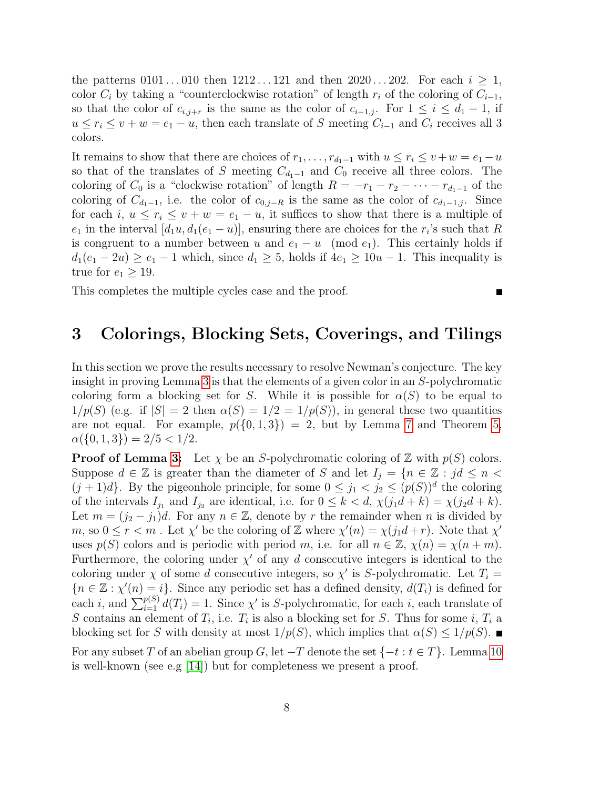the patterns  $0101...010$  then  $1212...121$  and then  $2020...202$ . For each  $i \geq 1$ , color  $C_i$  by taking a "counterclockwise rotation" of length  $r_i$  of the coloring of  $C_{i-1}$ , so that the color of  $c_{i,j+r}$  is the same as the color of  $c_{i-1,j}$ . For  $1 \leq i \leq d_1 - 1$ , if  $u \leq r_i \leq v + w = e_1 - u$ , then each translate of S meeting  $C_{i-1}$  and  $C_i$  receives all 3 colors.

It remains to show that there are choices of  $r_1, \ldots, r_{d_1-1}$  with  $u \leq r_i \leq v + w = e_1 - u$ so that of the translates of S meeting  $C_{d_1-1}$  and  $C_0$  receive all three colors. The coloring of  $C_0$  is a "clockwise rotation" of length  $R = -r_1 - r_2 - \cdots - r_{d_1-1}$  of the coloring of  $C_{d_1-1}$ , i.e. the color of  $c_{0,j-R}$  is the same as the color of  $c_{d_1-1,j}$ . Since for each i,  $u \leq r_i \leq v + w = e_1 - u$ , it suffices to show that there is a multiple of  $e_1$  in the interval  $[d_1u, d_1(e_1 - u)]$ , ensuring there are choices for the  $r_i$ 's such that R is congruent to a number between u and  $e_1 - u \pmod{e_1}$ . This certainly holds if  $d_1(e_1 - 2u) \ge e_1 - 1$  which, since  $d_1 \ge 5$ , holds if  $4e_1 \ge 10u - 1$ . This inequality is true for  $e_1 \geq 19$ .

This completes the multiple cycles case and the proof.

### <span id="page-7-0"></span>3 Colorings, Blocking Sets, Coverings, and Tilings

■

In this section we prove the results necessary to resolve Newman's conjecture. The key insight in proving Lemma [3](#page-1-0) is that the elements of a given color in an S-polychromatic coloring form a blocking set for S. While it is possible for  $\alpha(S)$  to be equal to  $1/p(S)$  (e.g. if  $|S| = 2$  then  $\alpha(S) = 1/2 = 1/p(S)$ ), in general these two quantities are not equal. For example,  $p({0, 1, 3}) = 2$ , but by Lemma [7](#page-2-0) and Theorem [5,](#page-2-2)  $\alpha({0, 1, 3}) = 2/5 < 1/2.$ 

<span id="page-7-1"></span>**Proof of Lemma [3:](#page-1-0)** Let  $\chi$  be an S-polychromatic coloring of  $\mathbb{Z}$  with  $p(S)$  colors. Suppose  $d \in \mathbb{Z}$  is greater than the diameter of S and let  $I_i = \{n \in \mathbb{Z} : jd \leq n \leq n\}$  $(j+1)d$ . By the pigeonhole principle, for some  $0 \leq j_1 < j_2 \leq (p(S))^d$  the coloring of the intervals  $I_{j_1}$  and  $I_{j_2}$  are identical, i.e. for  $0 \leq k < d$ ,  $\chi(j_1d+k) = \chi(j_2d+k)$ . Let  $m = (j_2 - j_1)d$ . For any  $n \in \mathbb{Z}$ , denote by r the remainder when n is divided by m, so  $0 \le r < m$ . Let  $\chi'$  be the coloring of Z where  $\chi'(n) = \chi(j_1 d + r)$ . Note that  $\chi'$ uses  $p(S)$  colors and is periodic with period m, i.e. for all  $n \in \mathbb{Z}$ ,  $\chi(n) = \chi(n+m)$ . Furthermore, the coloring under  $\chi'$  of any d consecutive integers is identical to the coloring under  $\chi$  of some d consecutive integers, so  $\chi'$  is S-polychromatic. Let  $T_i =$  ${n \in \mathbb{Z} : \chi'(n) = i}.$  Since any periodic set has a defined density,  $d(T_i)$  is defined for each *i*, and  $\sum_{i=1}^{p(S)} d(T_i) = 1$ . Since  $\chi'$  is S-polychromatic, for each *i*, each translate of S contains an element of  $T_i$ , i.e.  $T_i$  is also a blocking set for S. Thus for some i,  $T_i$  a blocking set for S with density at most  $1/p(S)$ , which implies that  $\alpha(S) \leq 1/p(S)$ . For any subset T of an abelian group G, let  $-T$  denote the set  $\{-t : t \in T\}$ . Lemma [10](#page-7-1) is well-known (see e.g [\[14\]](#page-14-11)) but for completeness we present a proof.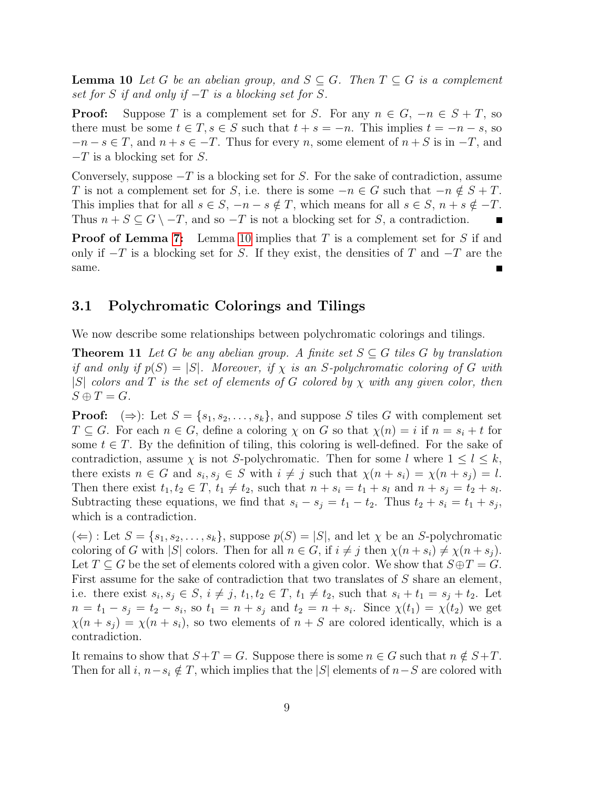**Lemma 10** Let G be an abelian group, and  $S \subseteq G$ . Then  $T \subseteq G$  is a complement set for S if and only if  $-T$  is a blocking set for S.

**Proof:** Suppose T is a complement set for S. For any  $n \in G$ ,  $-n \in S + T$ , so there must be some  $t \in T$ ,  $s \in S$  such that  $t + s = -n$ . This implies  $t = -n - s$ , so  $-n-s \in T$ , and  $n+s \in -T$ . Thus for every n, some element of  $n+S$  is in  $-T$ , and  $-T$  is a blocking set for S.

Conversely, suppose  $-T$  is a blocking set for S. For the sake of contradiction, assume T is not a complement set for S, i.e. there is some  $-n \in G$  such that  $-n \notin S + T$ . This implies that for all  $s \in S$ ,  $-n - s \notin T$ , which means for all  $s \in S$ ,  $n + s \notin -T$ . Thus  $n + S \subseteq G \setminus -T$ , and so  $-T$  is not a blocking set for S, a contradiction. ■

**Proof of Lemma [7:](#page-2-0)** Lemma [10](#page-7-1) implies that T is a complement set for S if and only if  $-T$  is a blocking set for S. If they exist, the densities of T and  $-T$  are the same.

### <span id="page-8-0"></span>3.1 Polychromatic Colorings and Tilings

We now describe some relationships between polychromatic colorings and tilings.

<span id="page-8-1"></span>**Theorem 11** Let G be any abelian group. A finite set  $S \subseteq G$  tiles G by translation if and only if  $p(S) = |S|$ . Moreover, if  $\chi$  is an S-polychromatic coloring of G with |S| colors and T is the set of elements of G colored by  $\chi$  with any given color, then  $S \oplus T = G.$ 

**Proof:**  $(\Rightarrow)$ : Let  $S = \{s_1, s_2, \ldots, s_k\}$ , and suppose S tiles G with complement set  $T \subseteq G$ . For each  $n \in G$ , define a coloring  $\chi$  on G so that  $\chi(n) = i$  if  $n = s_i + t$  for some  $t \in T$ . By the definition of tiling, this coloring is well-defined. For the sake of contradiction, assume  $\chi$  is not S-polychromatic. Then for some l where  $1 \leq l \leq k$ , there exists  $n \in G$  and  $s_i, s_j \in S$  with  $i \neq j$  such that  $\chi(n + s_i) = \chi(n + s_j) = l$ . Then there exist  $t_1, t_2 \in T$ ,  $t_1 \neq t_2$ , such that  $n + s_i = t_1 + s_i$  and  $n + s_j = t_2 + s_l$ . Subtracting these equations, we find that  $s_i - s_j = t_1 - t_2$ . Thus  $t_2 + s_i = t_1 + s_j$ , which is a contradiction.

 $(\Leftarrow)$ : Let  $S = \{s_1, s_2, \ldots, s_k\}$ , suppose  $p(S) = |S|$ , and let  $\chi$  be an S-polychromatic coloring of G with |S| colors. Then for all  $n \in G$ , if  $i \neq j$  then  $\chi(n + s_i) \neq \chi(n + s_j)$ . Let  $T \subseteq G$  be the set of elements colored with a given color. We show that  $S \oplus T = G$ . First assume for the sake of contradiction that two translates of S share an element, i.e. there exist  $s_i, s_j \in S$ ,  $i \neq j$ ,  $t_1, t_2 \in T$ ,  $t_1 \neq t_2$ , such that  $s_i + t_1 = s_j + t_2$ . Let  $n = t_1 - s_j = t_2 - s_i$ , so  $t_1 = n + s_j$  and  $t_2 = n + s_i$ . Since  $\chi(t_1) = \chi(t_2)$  we get  $\chi(n + s_i) = \chi(n + s_i)$ , so two elements of  $n + S$  are colored identically, which is a contradiction.

It remains to show that  $S+T = G$ . Suppose there is some  $n \in G$  such that  $n \notin S+T$ . Then for all  $i, n-s_i \notin T$ , which implies that the  $|S|$  elements of  $n-S$  are colored with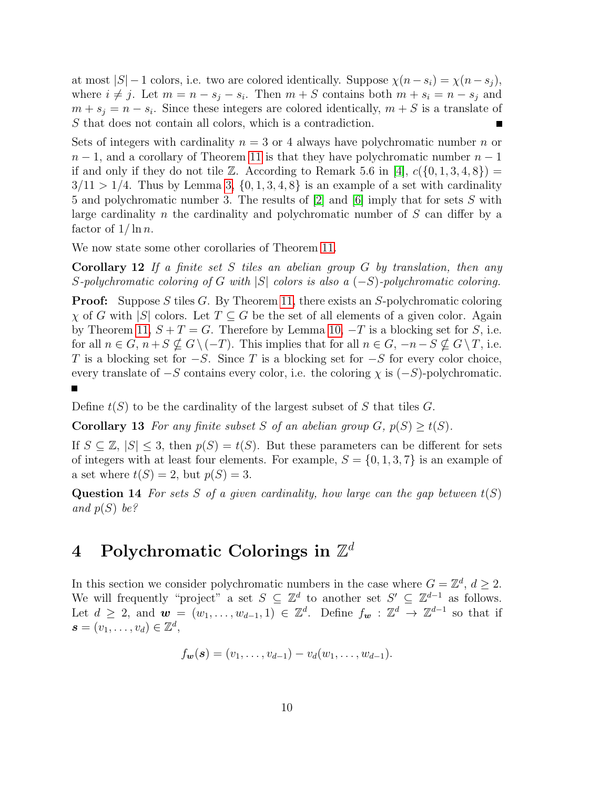at most  $|S| - 1$  colors, i.e. two are colored identically. Suppose  $\chi(n-s_i) = \chi(n-s_j)$ , where  $i \neq j$ . Let  $m = n - s_j - s_i$ . Then  $m + S$  contains both  $m + s_i = n - s_j$  and  $m + s_j = n - s_i$ . Since these integers are colored identically,  $m + S$  is a translate of S that does not contain all colors, which is a contradiction.

Sets of integers with cardinality  $n = 3$  or 4 always have polychromatic number n or  $n-1$ , and a corollary of Theorem [11](#page-8-1) is that they have polychromatic number  $n-1$ if and only if they do not tile Z. According to Remark 5.6 in [\[4\]](#page-14-10),  $c({0, 1, 3, 4, 8})$  =  $3/11 > 1/4$ . Thus by Lemma [3,](#page-1-0)  $\{0, 1, 3, 4, 8\}$  is an example of a set with cardinality 5 and polychromatic number 3. The results of [\[2\]](#page-14-0) and [\[6\]](#page-14-1) imply that for sets S with large cardinality n the cardinality and polychromatic number of S can differ by a factor of  $1/\ln n$ .

We now state some other corollaries of Theorem [11.](#page-8-1)

**Corollary 12** If a finite set S tiles an abelian group  $G$  by translation, then any S-polychromatic coloring of G with |S| colors is also a  $(-S)$ -polychromatic coloring.

**Proof:** Suppose S tiles G. By Theorem [11,](#page-8-1) there exists an S-polychromatic coloring  $\chi$  of G with |S| colors. Let  $T \subseteq G$  be the set of all elements of a given color. Again by Theorem [11,](#page-8-1)  $S + T = G$ . Therefore by Lemma [10,](#page-7-1)  $-T$  is a blocking set for S, i.e. for all  $n \in G$ ,  $n+S \nsubseteq G\setminus (-T)$ . This implies that for all  $n \in G$ ,  $-n-S \nsubseteq G\setminus T$ , i.e. T is a blocking set for  $-S$ . Since T is a blocking set for  $-S$  for every color choice, every translate of  $-S$  contains every color, i.e. the coloring  $\chi$  is  $(-S)$ -polychromatic.

Define  $t(S)$  to be the cardinality of the largest subset of S that tiles G.

**Corollary 13** For any finite subset S of an abelian group  $G$ ,  $p(S) \ge t(S)$ .

If  $S \subseteq \mathbb{Z}$ ,  $|S| \leq 3$ , then  $p(S) = t(S)$ . But these parameters can be different for sets of integers with at least four elements. For example,  $S = \{0, 1, 3, 7\}$  is an example of a set where  $t(S) = 2$ , but  $p(S) = 3$ .

**Question 14** For sets S of a given cardinality, how large can the gap between  $t(S)$ and  $p(S)$  be?

# <span id="page-9-0"></span> $4$  Polychromatic Colorings in  $\mathbb{Z}^d$

In this section we consider polychromatic numbers in the case where  $G = \mathbb{Z}^d$ ,  $d \geq 2$ . We will frequently "project" a set  $S \subseteq \mathbb{Z}^d$  to another set  $S' \subseteq \mathbb{Z}^{d-1}$  as follows. Let  $d \geq 2$ , and  $\mathbf{w} = (w_1, \ldots, w_{d-1}, 1) \in \mathbb{Z}^d$ . Define  $f_{\mathbf{w}} : \mathbb{Z}^d \to \mathbb{Z}^{d-1}$  so that if  $\boldsymbol{s}=(v_1,\ldots,v_d)\in\mathbb{Z}^d,$ 

$$
f_{\mathbf{w}}(\mathbf{s})=(v_1,\ldots,v_{d-1})-v_d(w_1,\ldots,w_{d-1}).
$$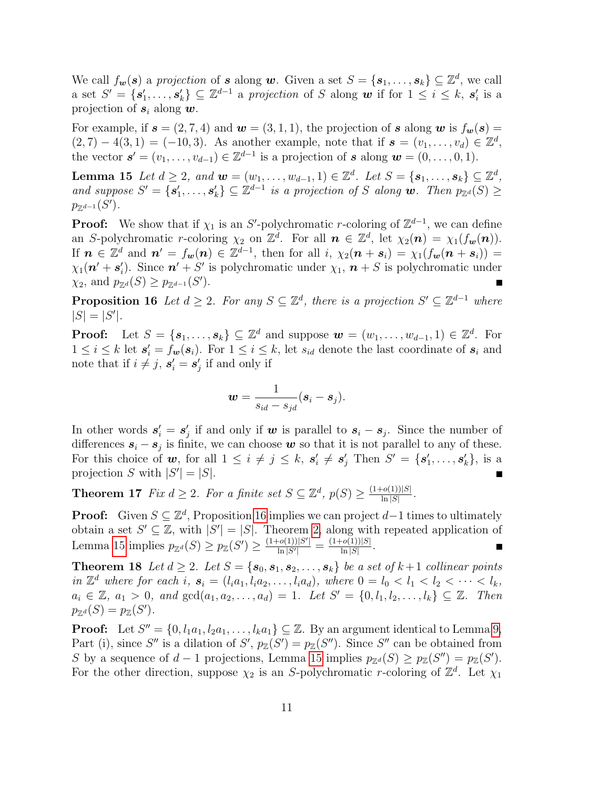We call  $f_{\bm{w}}(\bm{s})$  a projection of  $\bm{s}$  along  $\bm{w}$ . Given a set  $S = \{\bm{s}_1, \ldots, \bm{s}_k\} \subseteq \mathbb{Z}^d$ , we call a set  $S' = \{s'_1, \ldots, s'_k\} \subseteq \mathbb{Z}^{d-1}$  a projection of S along w if for  $1 \leq i \leq k$ ,  $s'_i$  is a projection of  $s_i$  along  $w$ .

For example, if  $\mathbf{s} = (2, 7, 4)$  and  $\mathbf{w} = (3, 1, 1)$ , the projection of  $\mathbf{s}$  along  $\mathbf{w}$  is  $f_{\mathbf{w}}(\mathbf{s}) =$  $(2, 7) - 4(3, 1) = (-10, 3)$ . As another example, note that if  $s = (v_1, \ldots, v_d) \in \mathbb{Z}^d$ , the vector  $\mathbf{s}' = (v_1, \ldots, v_{d-1}) \in \mathbb{Z}^{d-1}$  is a projection of  $\mathbf{s}$  along  $\mathbf{w} = (0, \ldots, 0, 1)$ .

<span id="page-10-2"></span>**Lemma 15** Let  $d \geq 2$ , and  $\mathbf{w} = (w_1, \ldots, w_{d-1}, 1) \in \mathbb{Z}^d$ . Let  $S = \{s_1, \ldots, s_k\} \subseteq \mathbb{Z}^d$ , and suppose  $S' = \{s'_1, \ldots, s'_k\} \subseteq \mathbb{Z}^{d-1}$  is a projection of S along w. Then  $p_{\mathbb{Z}^d}(S) \geq$  $p_{\mathbb{Z}^{d-1}}(S')$ .

**Proof:** We show that if  $\chi_1$  is an S'-polychromatic r-coloring of  $\mathbb{Z}^{d-1}$ , we can define an S-polychromatic r-coloring  $\chi_2$  on  $\mathbb{Z}^d$ . For all  $n \in \mathbb{Z}^d$ , let  $\chi_2(n) = \chi_1(f_{\boldsymbol{w}}(n))$ . If  $n \in \mathbb{Z}^d$  and  $n' = f_{\mathbf{w}}(n) \in \mathbb{Z}^{d-1}$ , then for all  $i, \chi_2(n + s_i) = \chi_1(f_{\mathbf{w}}(n + s_i)) =$  $\chi_1(\mathbf{n}' + \mathbf{s}'_i)$ . Since  $\mathbf{n}' + S'$  is polychromatic under  $\chi_1$ ,  $\mathbf{n} + S$  is polychromatic under  $\chi_2$ , and  $p_{\mathbb{Z}^d}(S) \geq p_{\mathbb{Z}^{d-1}}(S')$ .

<span id="page-10-1"></span>**Proposition 16** Let  $d \geq 2$ . For any  $S \subseteq \mathbb{Z}^d$ , there is a projection  $S' \subseteq \mathbb{Z}^{d-1}$  where  $|S| = |S'|$ .

**Proof:** Let  $S = \{s_1, \ldots, s_k\} \subseteq \mathbb{Z}^d$  and suppose  $\mathbf{w} = (w_1, \ldots, w_{d-1}, 1) \in \mathbb{Z}^d$ . For  $1 \leq i \leq k$  let  $s_i' = f_w(s_i)$ . For  $1 \leq i \leq k$ , let  $s_{id}$  denote the last coordinate of  $s_i$  and note that if  $i \neq j$ ,  $s'_i = s'_j$  if and only if

$$
\boldsymbol{w} = \frac{1}{s_{id} - s_{jd}} (\boldsymbol{s}_i - \boldsymbol{s}_j).
$$

In other words  $s_i' = s_j'$  if and only if w is parallel to  $s_i - s_j$ . Since the number of differences  $s_i - s_j$  is finite, we can choose w so that it is not parallel to any of these. For this choice of w, for all  $1 \leq i \neq j \leq k$ ,  $s'_i \neq s'_j$  Then  $S' = \{s'_1, \ldots, s'_k\}$ , is a projection S with  $|S'| = |S|$ . П

<span id="page-10-0"></span>**Theorem 17** Fix  $d \geq 2$ . For a finite set  $S \subseteq \mathbb{Z}^d$ ,  $p(S) \geq \frac{(1+o(1))|S|}{\ln |S|}$  $\frac{\left\lceil o(1) \right\rceil |S|}{\ln |S|}$ .

**Proof:** Given  $S \subseteq \mathbb{Z}^d$ , Proposition [16](#page-10-1) implies we can project  $d-1$  times to ultimately obtain a set  $S' \subseteq \mathbb{Z}$ , with  $|S'| = |S|$ . Theorem [2,](#page-1-1) along with repeated application of Lemma [15](#page-10-2) implies  $p_{\mathbb{Z}^d}(S) \geq p_{\mathbb{Z}}(S') \geq \frac{(1+o(1))|S'|}{\ln |S'|}$  $\frac{\log \log |S'|}{\log |S'|} = \frac{(1+o(1))|S|}{\ln |S|}$  $\frac{\left\lceil o(1) \right\rceil |S|}{\ln |S|}$ . ■

<span id="page-10-3"></span>**Theorem 18** Let  $d \geq 2$ . Let  $S = \{s_0, s_1, s_2, \ldots, s_k\}$  be a set of  $k+1$  collinear points in  $\mathbb{Z}^d$  where for each i,  $s_i = (l_i a_1, l_i a_2, \ldots, l_i a_d)$ , where  $0 = l_0 < l_1 < l_2 < \cdots < l_k$ ,  $a_i \in \mathbb{Z}, a_1 > 0, and \gcd(a_1, a_2, \ldots, a_d) = 1.$  Let  $S' = \{0, l_1, l_2, \ldots, l_k\} \subseteq \mathbb{Z}$ . Then  $p_{\mathbb{Z}^d}(S) = p_{\mathbb{Z}}(S')$ .

**Proof:** Let  $S'' = \{0, l_1a_1, l_2a_1, \ldots, l_ka_1\} \subseteq \mathbb{Z}$ . By an argument identical to Lemma [9,](#page-3-1) Part (i), since S'' is a dilation of S',  $p_{\mathbb{Z}}(S') = p_{\mathbb{Z}}(S'')$ . Since S'' can be obtained from S by a sequence of  $d-1$  projections, Lemma [15](#page-10-2) implies  $p_{\mathbb{Z}^d}(S) \geq p_{\mathbb{Z}}(S'') = p_{\mathbb{Z}}(S')$ . For the other direction, suppose  $\chi_2$  is an S-polychromatic r-coloring of  $\mathbb{Z}^d$ . Let  $\chi_1$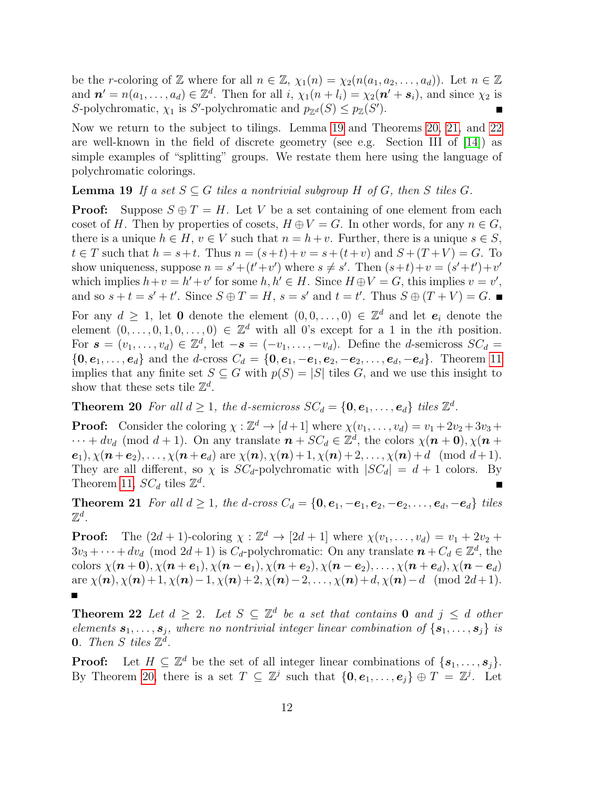be the r-coloring of Z where for all  $n \in \mathbb{Z}$ ,  $\chi_1(n) = \chi_2(n(a_1, a_2, \ldots, a_d))$ . Let  $n \in \mathbb{Z}$ and  $\mathbf{n}' = n(a_1, \ldots, a_d) \in \mathbb{Z}^d$ . Then for all i,  $\chi_1(n+l_i) = \chi_2(\mathbf{n}' + \mathbf{s}_i)$ , and since  $\chi_2$  is S-polychromatic,  $\chi_1$  is S'-polychromatic and  $p_{\mathbb{Z}^d}(S) \leq p_{\mathbb{Z}}(S')$ .

Now we return to the subject to tilings. Lemma [19](#page-11-0) and Theorems [20,](#page-11-1) [21,](#page-11-2) and [22](#page-11-3) are well-known in the field of discrete geometry (see e.g. Section III of [\[14\]](#page-14-11)) as simple examples of "splitting" groups. We restate them here using the language of polychromatic colorings.

<span id="page-11-0"></span>**Lemma 19** If a set  $S \subseteq G$  tiles a nontrivial subgroup H of G, then S tiles G.

**Proof:** Suppose  $S \oplus T = H$ . Let V be a set containing of one element from each coset of H. Then by properties of cosets,  $H \oplus V = G$ . In other words, for any  $n \in G$ , there is a unique  $h \in H$ ,  $v \in V$  such that  $n = h + v$ . Further, there is a unique  $s \in S$ ,  $t \in T$  such that  $h = s+t$ . Thus  $n = (s+t)+v = s+(t+v)$  and  $S+(T+V) = G$ . To show uniqueness, suppose  $n = s' + (t' + v')$  where  $s \neq s'$ . Then  $(s+t)+v = (s'+t') + v'$ which implies  $h+v = h'+v'$  for some  $h, h' \in H$ . Since  $H \oplus V = G$ , this implies  $v = v'$ , and so  $s + t = s' + t'$ . Since  $S \oplus T = H$ ,  $s = s'$  and  $t = t'$ . Thus  $S \oplus (T + V) = G$ . For any  $d \geq 1$ , let 0 denote the element  $(0,0,\ldots,0) \in \mathbb{Z}^d$  and let  $e_i$  denote the element  $(0,\ldots,0,1,0,\ldots,0) \in \mathbb{Z}^d$  with all 0's except for a 1 in the *i*th position. For  $\mathbf{s} = (v_1, \ldots, v_d) \in \mathbb{Z}^d$ , let  $-\mathbf{s} = (-v_1, \ldots, -v_d)$ . Define the *d*-semicross  $SC_d =$  $\{0, e_1, \ldots, e_d\}$  and the d-cross  $C_d = \{0, e_1, -e_1, e_2, -e_2, \ldots, e_d, -e_d\}$ . Theorem [11](#page-8-1) implies that any finite set  $S \subseteq G$  with  $p(S) = |S|$  tiles G, and we use this insight to

show that these sets tile  $\mathbb{Z}^d$ .

<span id="page-11-1"></span>**Theorem 20** For all  $d \geq 1$ , the d-semicross  $SC_d = \{0, e_1, \ldots, e_d\}$  tiles  $\mathbb{Z}^d$ .

**Proof:** Consider the coloring  $\chi : \mathbb{Z}^d \to [d+1]$  where  $\chi(v_1, \ldots, v_d) = v_1 + 2v_2 + 3v_3 +$  $\cdots + dv_d \pmod{d+1}$ . On any translate  $n + SC_d \in \mathbb{Z}^d$ , the colors  $\chi(n+0), \chi(n+1)$ .  $e_1$ ,  $\chi(\mathbf{n}+\mathbf{e}_2), \ldots, \chi(\mathbf{n}+\mathbf{e}_d)$  are  $\chi(\mathbf{n}), \chi(\mathbf{n})+1, \chi(\mathbf{n})+2, \ldots, \chi(\mathbf{n})+d \pmod{d+1}$ . They are all different, so  $\chi$  is  $SC_d$ -polychromatic with  $|SC_d| = d + 1$  colors. By Theorem [11,](#page-8-1)  $SC_d$  tiles  $\mathbb{Z}^d$ . Г

<span id="page-11-2"></span>Theorem 21 For all  $d \geq 1$ , the d-cross  $C_d = \{0, e_1, -e_1, e_2, -e_2, \ldots, e_d, -e_d\}$  tiles  $\mathbb{Z}^d$  .

**Proof:** The  $(2d + 1)$ -coloring  $\chi : \mathbb{Z}^d \to [2d + 1]$  where  $\chi(v_1, \ldots, v_d) = v_1 + 2v_2 +$  $3v_3 + \cdots + dv_d$  (mod  $2d + 1$ ) is  $C_d$ -polychromatic: On any translate  $n + C_d \in \mathbb{Z}^d$ , the colors  $\chi(n+0), \chi(n+e_1), \chi(n-e_1), \chi(n+e_2), \chi(n-e_2), \ldots, \chi(n+e_d), \chi(n-e_d)$ are  $\chi(n), \chi(n) + 1, \chi(n) - 1, \chi(n) + 2, \chi(n) - 2, \ldots, \chi(n) + d, \chi(n) - d \pmod{2d+1}$ .

<span id="page-11-3"></span>**Theorem 22** Let  $d \geq 2$ . Let  $S \subseteq \mathbb{Z}^d$  be a set that contains **0** and  $j \leq d$  other elements  $s_1, \ldots, s_j$ , where no nontrivial integer linear combination of  $\{s_1, \ldots, s_j\}$  is **0.** Then S tiles  $\mathbb{Z}^d$ .

**Proof:** Let  $H \subseteq \mathbb{Z}^d$  be the set of all integer linear combinations of  $\{s_1, \ldots, s_j\}$ . By Theorem [20,](#page-11-1) there is a set  $T \subseteq \mathbb{Z}^j$  such that  $\{0, e_1, \ldots, e_j\} \oplus T = \mathbb{Z}^j$ . Let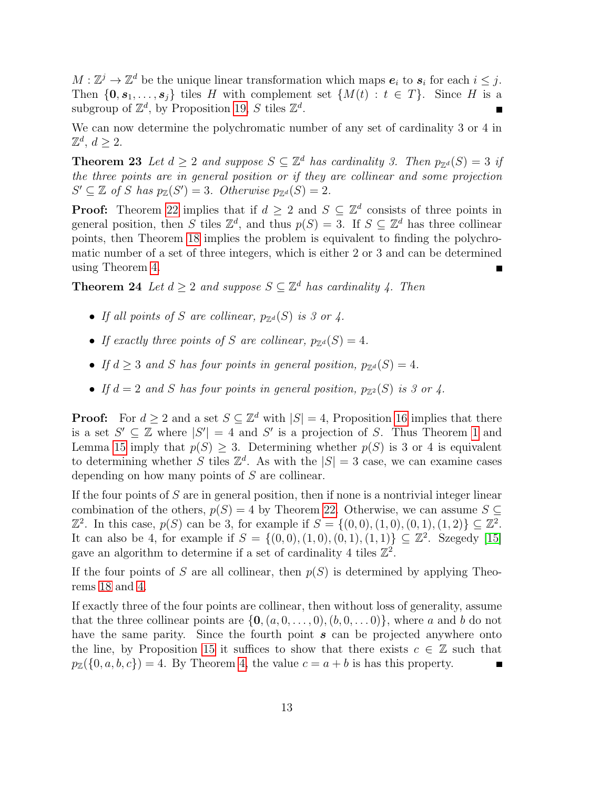$M: \mathbb{Z}^j \to \mathbb{Z}^d$  be the unique linear transformation which maps  $e_i$  to  $s_i$  for each  $i \leq j$ . Then  $\{0, s_1, \ldots, s_j\}$  tiles H with complement set  $\{M(t) : t \in T\}$ . Since H is a subgroup of  $\mathbb{Z}^d$ , by Proposition [19,](#page-11-0) S tiles  $\mathbb{Z}^d$ .

We can now determine the polychromatic number of any set of cardinality 3 or 4 in  $\mathbb{Z}^d, d \geq 2.$ 

**Theorem 23** Let  $d \geq 2$  and suppose  $S \subseteq \mathbb{Z}^d$  has cardinality 3. Then  $p_{\mathbb{Z}^d}(S) = 3$  if the three points are in general position or if they are collinear and some projection  $S' \subseteq \mathbb{Z}$  of S has  $p_{\mathbb{Z}}(S') = 3$ . Otherwise  $p_{\mathbb{Z}^d}(S) = 2$ .

**Proof:** Theorem [22](#page-11-3) implies that if  $d \geq 2$  and  $S \subseteq \mathbb{Z}^d$  consists of three points in general position, then S tiles  $\mathbb{Z}^d$ , and thus  $p(S) = 3$ . If  $S \subseteq \mathbb{Z}^d$  has three collinear points, then Theorem [18](#page-10-3) implies the problem is equivalent to finding the polychromatic number of a set of three integers, which is either 2 or 3 and can be determined using Theorem [4.](#page-1-2)

**Theorem 24** Let  $d \geq 2$  and suppose  $S \subseteq \mathbb{Z}^d$  has cardinality 4. Then

- If all points of S are collinear,  $p_{\mathbb{Z}^d}(S)$  is 3 or 4.
- If exactly three points of S are collinear,  $p_{\mathbb{Z}^d}(S) = 4$ .
- If  $d \geq 3$  and S has four points in general position,  $p_{\mathbb{Z}^d}(S) = 4$ .
- If  $d = 2$  and S has four points in general position,  $p_{\mathbb{Z}^2}(S)$  is 3 or 4.

**Proof:** For  $d \geq 2$  and a set  $S \subseteq \mathbb{Z}^d$  with  $|S| = 4$ , Proposition [16](#page-10-1) implies that there is a set  $S' \subseteq \mathbb{Z}$  where  $|S'| = 4$  and  $S'$  is a projection of S. Thus Theorem [1](#page-0-0) and Lemma [15](#page-10-2) imply that  $p(S) \geq 3$ . Determining whether  $p(S)$  is 3 or 4 is equivalent to determining whether S tiles  $\mathbb{Z}^d$ . As with the  $|S| = 3$  case, we can examine cases depending on how many points of S are collinear.

If the four points of  $S$  are in general position, then if none is a nontrivial integer linear combination of the others,  $p(S) = 4$  by Theorem [22.](#page-11-3) Otherwise, we can assume  $S \subseteq$  $\mathbb{Z}^2$ . In this case,  $p(S)$  can be 3, for example if  $S = \{(0,0), (1,0), (0,1), (1,2)\} \subseteq \mathbb{Z}^2$ . It can also be 4, for example if  $S = \{(0,0), (1,0), (0,1), (1,1)\} \subseteq \mathbb{Z}^2$ . Szegedy [\[15\]](#page-15-1) gave an algorithm to determine if a set of cardinality 4 tiles  $\mathbb{Z}^2$ .

If the four points of S are all collinear, then  $p(S)$  is determined by applying Theorems [18](#page-10-3) and [4.](#page-1-2)

If exactly three of the four points are collinear, then without loss of generality, assume that the three collinear points are  $\{0, (a, 0, \ldots, 0), (b, 0, \ldots, 0)\}$ , where a and b do not have the same parity. Since the fourth point  $s$  can be projected anywhere onto the line, by Proposition [15](#page-10-2) it suffices to show that there exists  $c \in \mathbb{Z}$  such that  $p_{\mathbb{Z}}(\{0, a, b, c\}) = 4$ . By Theorem [4,](#page-1-2) the value  $c = a + b$  is has this property.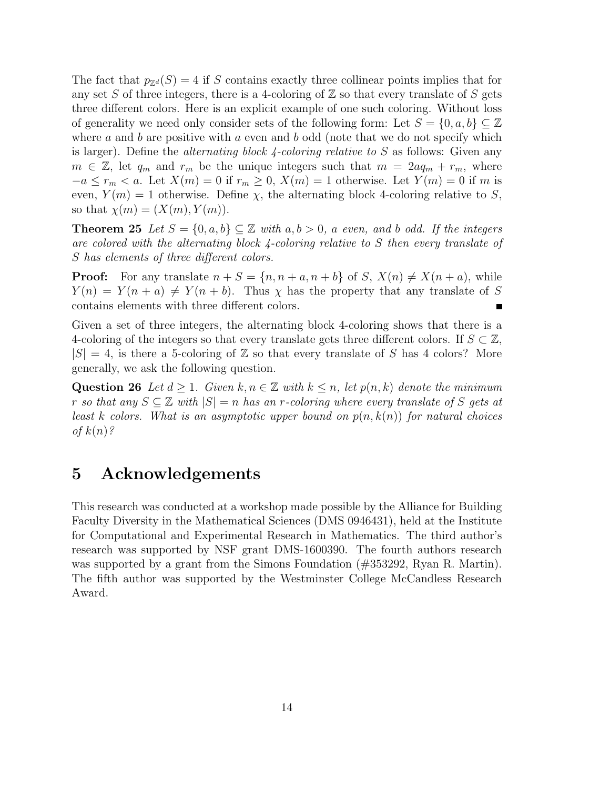The fact that  $p_{\mathbb{Z}^d}(S) = 4$  if S contains exactly three collinear points implies that for any set S of three integers, there is a 4-coloring of  $\mathbb Z$  so that every translate of S gets three different colors. Here is an explicit example of one such coloring. Without loss of generality we need only consider sets of the following form: Let  $S = \{0, a, b\} \subseteq \mathbb{Z}$ where a and b are positive with a even and b odd (note that we do not specify which is larger). Define the *alternating block 4-coloring relative to*  $S$  as follows: Given any  $m \in \mathbb{Z}$ , let  $q_m$  and  $r_m$  be the unique integers such that  $m = 2aq_m + r_m$ , where  $-a \leq r_m < a$ . Let  $X(m) = 0$  if  $r_m \geq 0$ ,  $X(m) = 1$  otherwise. Let  $Y(m) = 0$  if m is even,  $Y(m) = 1$  otherwise. Define  $\chi$ , the alternating block 4-coloring relative to S, so that  $\chi(m) = (X(m), Y(m)).$ 

**Theorem 25** Let  $S = \{0, a, b\} \subseteq \mathbb{Z}$  with  $a, b > 0$ , a even, and b odd. If the integers are colored with the alternating block 4-coloring relative to S then every translate of S has elements of three different colors.

**Proof:** For any translate  $n + S = \{n, n + a, n + b\}$  of  $S$ ,  $X(n) \neq X(n + a)$ , while  $Y(n) = Y(n + a) \neq Y(n + b)$ . Thus  $\chi$  has the property that any translate of S contains elements with three different colors.

Given a set of three integers, the alternating block 4-coloring shows that there is a 4-coloring of the integers so that every translate gets three different colors. If  $S \subset \mathbb{Z}$ ,  $|S| = 4$ , is there a 5-coloring of Z so that every translate of S has 4 colors? More generally, we ask the following question.

Question 26 Let  $d \geq 1$ . Given  $k, n \in \mathbb{Z}$  with  $k \leq n$ , let  $p(n, k)$  denote the minimum r so that any  $S \subseteq \mathbb{Z}$  with  $|S| = n$  has an r-coloring where every translate of S gets at least k colors. What is an asymptotic upper bound on  $p(n, k(n))$  for natural choices of  $k(n)$ ?

# 5 Acknowledgements

This research was conducted at a workshop made possible by the Alliance for Building Faculty Diversity in the Mathematical Sciences (DMS 0946431), held at the Institute for Computational and Experimental Research in Mathematics. The third author's research was supported by NSF grant DMS-1600390. The fourth authors research was supported by a grant from the Simons Foundation (#353292, Ryan R. Martin). The fifth author was supported by the Westminster College McCandless Research Award.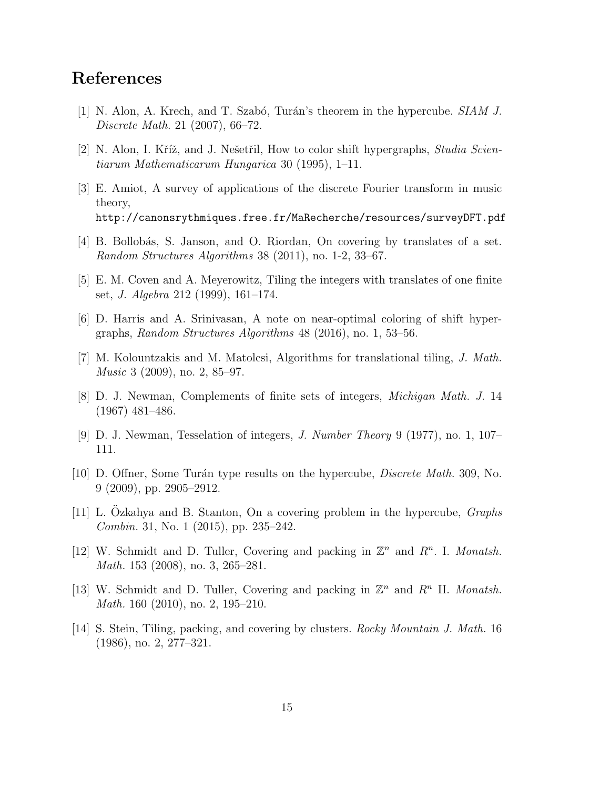# References

- <span id="page-14-2"></span>[1] N. Alon, A. Krech, and T. Szabó, Turán's theorem in the hypercube. SIAM J. Discrete Math. 21 (2007), 66–72.
- <span id="page-14-0"></span>[2] N. Alon, I. Kříž, and J. Nešetřil, How to color shift hypergraphs, *Studia Scien*tiarum Mathematicarum Hungarica 30 (1995), 1–11.
- <span id="page-14-9"></span>[3] E. Amiot, A survey of applications of the discrete Fourier transform in music theory, http://canonsrythmiques.free.fr/MaRecherche/resources/surveyDFT.pdf
- <span id="page-14-10"></span>[4] B. Bollobás, S. Janson, and O. Riordan, On covering by translates of a set. Random Structures Algorithms 38 (2011), no. 1-2, 33–67.
- <span id="page-14-7"></span>[5] E. M. Coven and A. Meyerowitz, Tiling the integers with translates of one finite set, J. Algebra 212 (1999), 161–174.
- <span id="page-14-1"></span>[6] D. Harris and A. Srinivasan, A note on near-optimal coloring of shift hypergraphs, Random Structures Algorithms 48 (2016), no. 1, 53–56.
- <span id="page-14-8"></span>[7] M. Kolountzakis and M. Matolcsi, Algorithms for translational tiling, J. Math. Music 3 (2009), no. 2, 85–97.
- <span id="page-14-5"></span>[8] D. J. Newman, Complements of finite sets of integers, Michigan Math. J. 14 (1967) 481–486.
- <span id="page-14-6"></span>[9] D. J. Newman, Tesselation of integers, J. Number Theory 9 (1977), no. 1, 107– 111.
- <span id="page-14-3"></span>[10] D. Offner, Some Turán type results on the hypercube, *Discrete Math.* 309, No. 9 (2009), pp. 2905–2912.
- <span id="page-14-4"></span>[11] L. Ozkahya and B. Stanton, On a covering problem in the hypercube,  $Graphs$ Combin. 31, No. 1 (2015), pp. 235–242.
- [12] W. Schmidt and D. Tuller, Covering and packing in  $\mathbb{Z}^n$  and  $R^n$ . I. Monatsh. Math. 153 (2008), no. 3, 265–281.
- [13] W. Schmidt and D. Tuller, Covering and packing in  $\mathbb{Z}^n$  and  $R^n$  II. Monatsh. Math. 160 (2010), no. 2, 195–210.
- <span id="page-14-11"></span>[14] S. Stein, Tiling, packing, and covering by clusters. Rocky Mountain J. Math. 16 (1986), no. 2, 277–321.